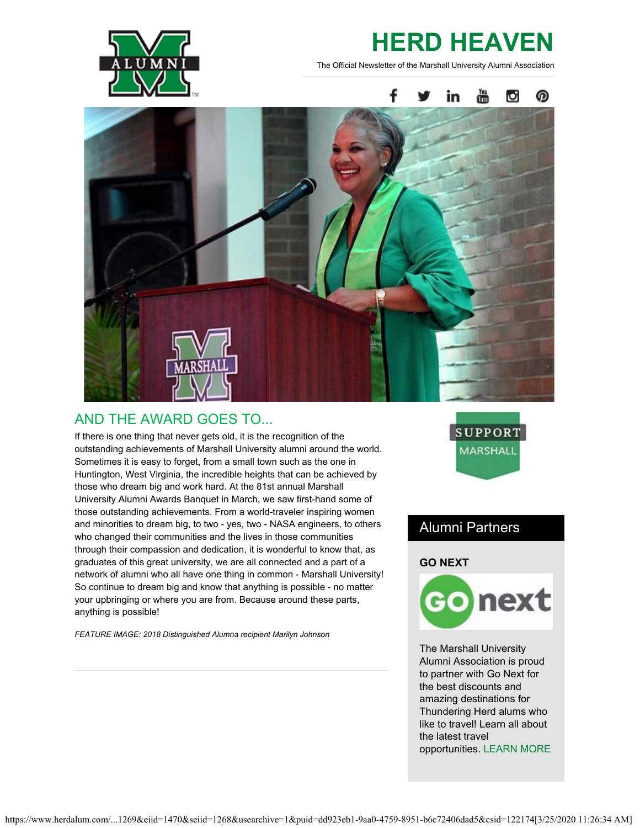

# **HERD HEAVEN**

The Official Newsletter of the Marshall University Alumni Association



## AND THE AWARD GOES TO...

If there is one thing that never gets old, it is the recognition of the outstanding achievements of Marshall University alumni around the world. Sometimes it is easy to forget, from a small town such as the one in Huntington, West Virginia, the incredible heights that can be achieved by those who dream big and work hard. At the 81st annual Marshall University Alumni Awards Banquet in March, we saw first-hand some of those outstanding achievements. From a world-traveler inspiring women and minorities to dream big, to two - yes, two - NASA engineers, to others who changed their communities and the lives in those communities through their compassion and dedication, it is wonderful to know that, as graduates of this great university, we are all connected and a part of a network of alumni who all have one thing in common - Marshall University! So continue to dream big and know that anything is possible - no matter your upbringing or where you are from. Because around these parts, anything is possible!

*FEATURE IMAGE: 2018 Distinguished Alumna recipient Marilyn Johnson*



## Alumni Partners

### **GO NEXT**



The Marshall University Alumni Association is proud to partner with Go Next for the best discounts and amazing destinations for Thundering Herd alums who like to travel! Learn all about the latest travel opportunities. [LEARN MORE](http://www.herdalum.com/s/1269/index.aspx?sid=1269&gid=1&pgid=755)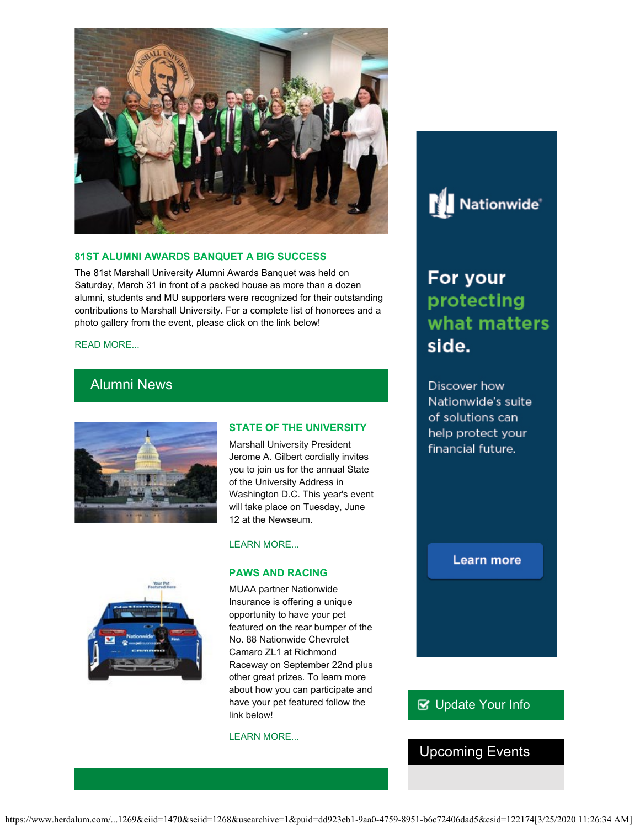

#### **81ST ALUMNI AWARDS BANQUET A BIG SUCCESS**

The 81st Marshall University Alumni Awards Banquet was held on Saturday, March 31 in front of a packed house as more than a dozen alumni, students and MU supporters were recognized for their outstanding contributions to Marshall University. For a complete list of honorees and a photo gallery from the event, please click on the link below!

#### [READ MORE...](http://www.herdalum.com/s/1269/index.aspx?sid=1269&gid=1&pgid=429)

## Alumni News



#### **STATE OF THE UNIVERSITY**

Marshall University President Jerome A. Gilbert cordially invites you to join us for the annual State of the University Address in Washington D.C. This year's event will take place on Tuesday, June 12 at the Newseum.



## [LEARN MORE...](http://www.herdalum.com/s/1269/index.aspx?sid=1269&gid=1&pgid=695)

#### **PAWS AND RACING**

MUAA partner Nationwide Insurance is offering a unique opportunity to have your pet featured on the rear bumper of the No. 88 Nationwide Chevrolet Camaro ZL1 at Richmond Raceway on September 22nd plus other great prizes. To learn more about how you can participate and have your pet featured follow the link below!

#### [LEARN MORE...](http://www.pawsandracing.com/)



## For your protecting what matters side.

Discover how Nationwide's suite of solutions can help protect your financial future.

## **Learn more**

## **B** [Update Your Info](http://www.herdalum.com/s/1269/index.aspx?sid=1269&gid=1&pgid=6&cid=41#/Search/Simple)

## Upcoming Events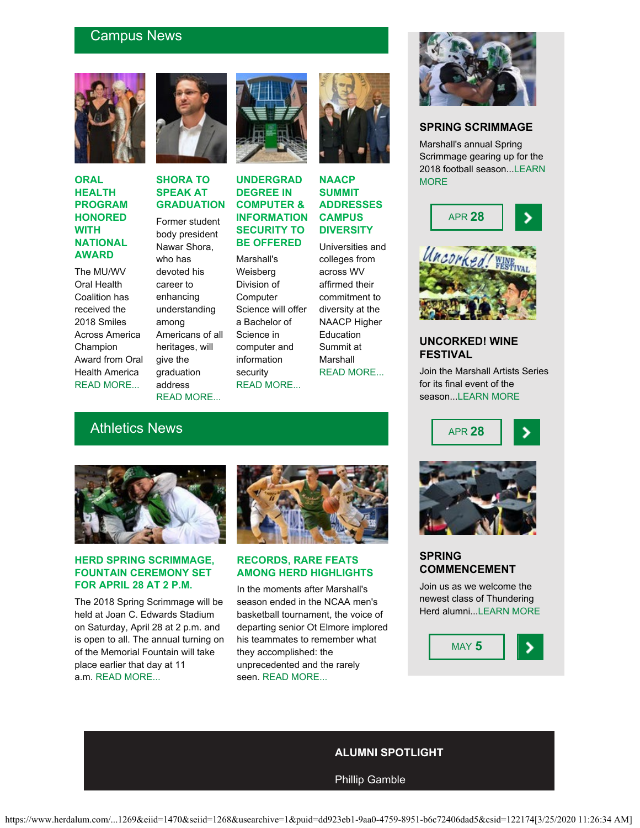## Campus News



### **ORAL HEALTH PROGRAM HONORED WITH NATIONAL AWARD**

The MU/WV Oral Health Coalition has received the 2018 Smiles Across America Champion Award from Oral Health America [READ MORE...](https://www.marshall.edu/ucomm/2018/04/04/marshall-oral-health-program-honored-with-national-award/)



## **SHORA TO SPEAK AT GRADUATION**

Former student body president Nawar Shora, who has devoted his career to enhancing understanding among Americans of all heritages, will give the graduation address [READ MORE...](https://www.marshall.edu/ucomm/2018/04/05/shora-to-speak-at-marshall-commencement-may-5/)



## **UNDERGRAD DEGREE IN COMPUTER & INFORMATION SECURITY TO BE OFFERED**

Marshall's Weisberg Division of **Computer** Science will offer a Bachelor of Science in computer and information security [READ MORE...](https://www.marshall.edu/ucomm/2018/03/09/marshall-offer-undergraduate-degree-computer-information-security/)



## **NAACP SUMMIT ADDRESSES CAMPUS DIVERSITY**

Universities and colleges from across WV affirmed their commitment to diversity at the NAACP Higher Education Summit at Marshall [READ MORE...](https://www.marshall.edu/ucomm/2018/03/29/west-virginia-naacp-higher-education-summit-addresses-need-for-cultural-diversity-on-campuses/)

## Athletics News



#### **HERD SPRING SCRIMMAGE, FOUNTAIN CEREMONY SET FOR APRIL 28 AT 2 P.M.**

The 2018 Spring Scrimmage will be held at Joan C. Edwards Stadium on Saturday, April 28 at 2 p.m. and is open to all. The annual turning on of the Memorial Fountain will take place earlier that day at 11 a.m. [READ MORE...](http://www.herdzone.com/sports/m-footbl/spec-rel/032118aaa.html)



### **RECORDS, RARE FEATS AMONG HERD HIGHLIGHTS**

In the moments after Marshall's season ended in the NCAA men's basketball tournament, the voice of departing senior Ot Elmore implored his teammates to remember what they accomplished: the unprecedented and the rarely seen. [READ MORE...](http://www.herdzone.com/sports/m-baskbl/spec-rel/032318aaa.html)



## **SPRING SCRIMMAGE**

Marshall's annual Spring Scrimmage gearing up for the 2018 football season..[.LEARN](http://www.herdzone.com/sports/m-footbl/spec-rel/032118aaa.html) **MORF** 





## **UNCORKED! WINE FESTIVAL**

Join the Marshall Artists Series for its final event of the season..[.LEARN MORE](http://www.marshall.edu/muartistseries/show?id=16)





## **SPRING COMMENCEMENT**

Join us as we welcome the newest class of Thundering Herd alumni..[.LEARN MORE](http://www.marshall.edu/commencement/)



## **ALUMNI SPOTLIGHT**

Phillip Gamble